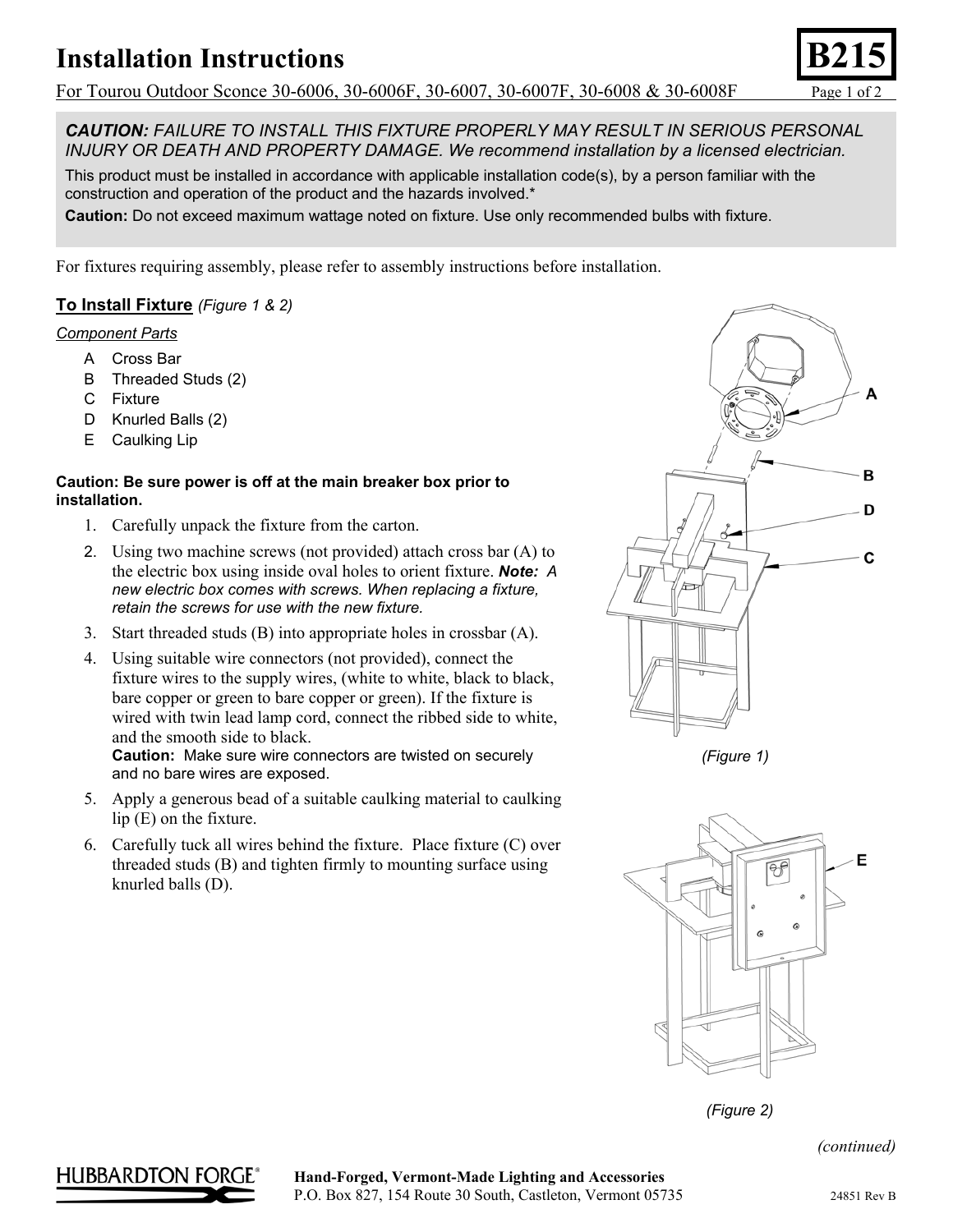# **Installation Instructions**

For Tourou Outdoor Sconce 30-6006, 30-6006F, 30-6007, 30-6007F, 30-6008 & 30-6008F Page 1 of 2

*CAUTION: FAILURE TO INSTALL THIS FIXTURE PROPERLY MAY RESULT IN SERIOUS PERSONAL INJURY OR DEATH AND PROPERTY DAMAGE. We recommend installation by a licensed electrician.*

This product must be installed in accordance with applicable installation code(s), by a person familiar with the construction and operation of the product and the hazards involved.\*

**Caution:** Do not exceed maximum wattage noted on fixture. Use only recommended bulbs with fixture.

For fixtures requiring assembly, please refer to assembly instructions before installation.

### **To Install Fixture** *(Figure 1 & 2)*

### *Component Parts*

- A Cross Bar
- B Threaded Studs (2)
- C Fixture
- D Knurled Balls (2)
- E Caulking Lip

#### **Caution: Be sure power is off at the main breaker box prior to installation.**

- 1. Carefully unpack the fixture from the carton.
- 2. Using two machine screws (not provided) attach cross bar (A) to the electric box using inside oval holes to orient fixture. *Note: A new electric box comes with screws. When replacing a fixture, retain the screws for use with the new fixture.*
- 3. Start threaded studs (B) into appropriate holes in crossbar (A).
- 4. Using suitable wire connectors (not provided), connect the fixture wires to the supply wires, (white to white, black to black, bare copper or green to bare copper or green). If the fixture is wired with twin lead lamp cord, connect the ribbed side to white, and the smooth side to black. **Caution:** Make sure wire connectors are twisted on securely and no bare wires are exposed.

5. Apply a generous bead of a suitable caulking material to caulking lip (E) on the fixture.

6. Carefully tuck all wires behind the fixture. Place fixture (C) over threaded studs (B) and tighten firmly to mounting surface using knurled balls (D).



*(Figure 1)* 



*(Figure 2)* 

*(continued)*